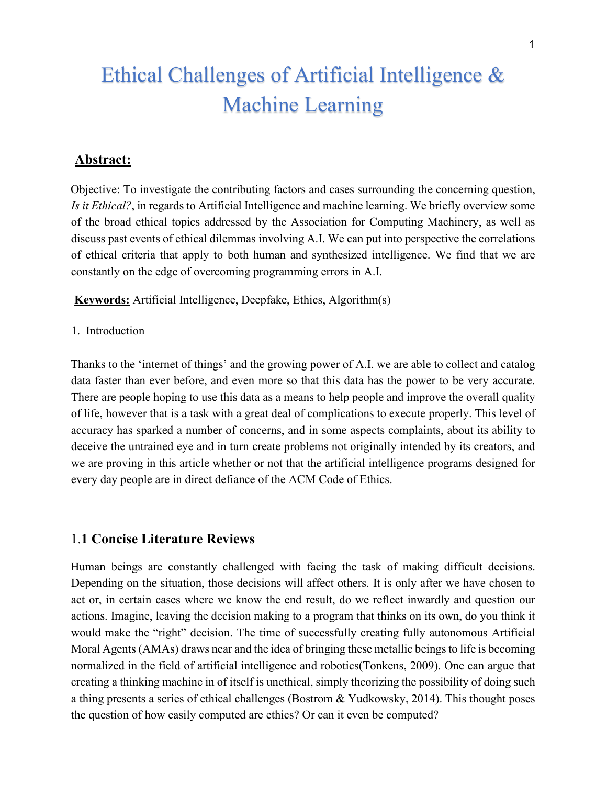# Ethical Challenges of Artificial Intelligence & Machine Learning

## **Abstract:**

Objective: To investigate the contributing factors and cases surrounding the concerning question, *Is it Ethical?*, in regards to Artificial Intelligence and machine learning. We briefly overview some of the broad ethical topics addressed by the Association for Computing Machinery, as well as discuss past events of ethical dilemmas involving A.I. We can put into perspective the correlations of ethical criteria that apply to both human and synthesized intelligence. We find that we are constantly on the edge of overcoming programming errors in A.I.

**Keywords:** Artificial Intelligence, Deepfake, Ethics, Algorithm(s)

1. Introduction

Thanks to the 'internet of things' and the growing power of A.I. we are able to collect and catalog data faster than ever before, and even more so that this data has the power to be very accurate. There are people hoping to use this data as a means to help people and improve the overall quality of life, however that is a task with a great deal of complications to execute properly. This level of accuracy has sparked a number of concerns, and in some aspects complaints, about its ability to deceive the untrained eye and in turn create problems not originally intended by its creators, and we are proving in this article whether or not that the artificial intelligence programs designed for every day people are in direct defiance of the ACM Code of Ethics.

#### 1.**1 Concise Literature Reviews**

Human beings are constantly challenged with facing the task of making difficult decisions. Depending on the situation, those decisions will affect others. It is only after we have chosen to act or, in certain cases where we know the end result, do we reflect inwardly and question our actions. Imagine, leaving the decision making to a program that thinks on its own, do you think it would make the "right" decision. The time of successfully creating fully autonomous Artificial Moral Agents (AMAs) draws near and the idea of bringing these metallic beings to life is becoming normalized in the field of artificial intelligence and robotics(Tonkens, 2009). One can argue that creating a thinking machine in of itself is unethical, simply theorizing the possibility of doing such a thing presents a series of ethical challenges (Bostrom & Yudkowsky, 2014). This thought poses the question of how easily computed are ethics? Or can it even be computed?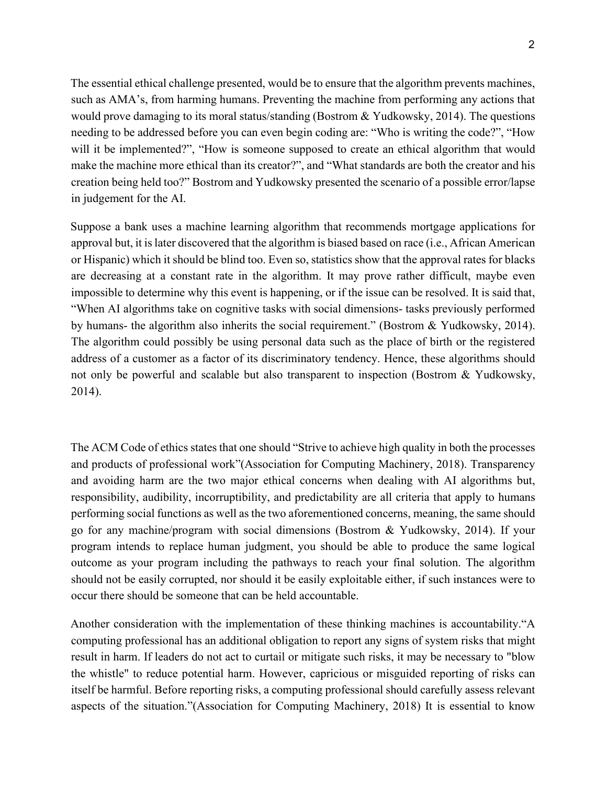The essential ethical challenge presented, would be to ensure that the algorithm prevents machines, such as AMA's, from harming humans. Preventing the machine from performing any actions that would prove damaging to its moral status/standing (Bostrom & Yudkowsky, 2014). The questions needing to be addressed before you can even begin coding are: "Who is writing the code?", "How will it be implemented?", "How is someone supposed to create an ethical algorithm that would make the machine more ethical than its creator?", and "What standards are both the creator and his creation being held too?" Bostrom and Yudkowsky presented the scenario of a possible error/lapse in judgement for the AI.

Suppose a bank uses a machine learning algorithm that recommends mortgage applications for approval but, it is later discovered that the algorithm is biased based on race (i.e., African American or Hispanic) which it should be blind too. Even so, statistics show that the approval rates for blacks are decreasing at a constant rate in the algorithm. It may prove rather difficult, maybe even impossible to determine why this event is happening, or if the issue can be resolved. It is said that, "When AI algorithms take on cognitive tasks with social dimensions- tasks previously performed by humans- the algorithm also inherits the social requirement." (Bostrom & Yudkowsky, 2014). The algorithm could possibly be using personal data such as the place of birth or the registered address of a customer as a factor of its discriminatory tendency. Hence, these algorithms should not only be powerful and scalable but also transparent to inspection (Bostrom & Yudkowsky, 2014).

The ACM Code of ethics states that one should "Strive to achieve high quality in both the processes and products of professional work"(Association for Computing Machinery, 2018). Transparency and avoiding harm are the two major ethical concerns when dealing with AI algorithms but, responsibility, audibility, incorruptibility, and predictability are all criteria that apply to humans performing social functions as well as the two aforementioned concerns, meaning, the same should go for any machine/program with social dimensions (Bostrom & Yudkowsky, 2014). If your program intends to replace human judgment, you should be able to produce the same logical outcome as your program including the pathways to reach your final solution. The algorithm should not be easily corrupted, nor should it be easily exploitable either, if such instances were to occur there should be someone that can be held accountable.

Another consideration with the implementation of these thinking machines is accountability."A computing professional has an additional obligation to report any signs of system risks that might result in harm. If leaders do not act to curtail or mitigate such risks, it may be necessary to "blow the whistle" to reduce potential harm. However, capricious or misguided reporting of risks can itself be harmful. Before reporting risks, a computing professional should carefully assess relevant aspects of the situation."(Association for Computing Machinery, 2018) It is essential to know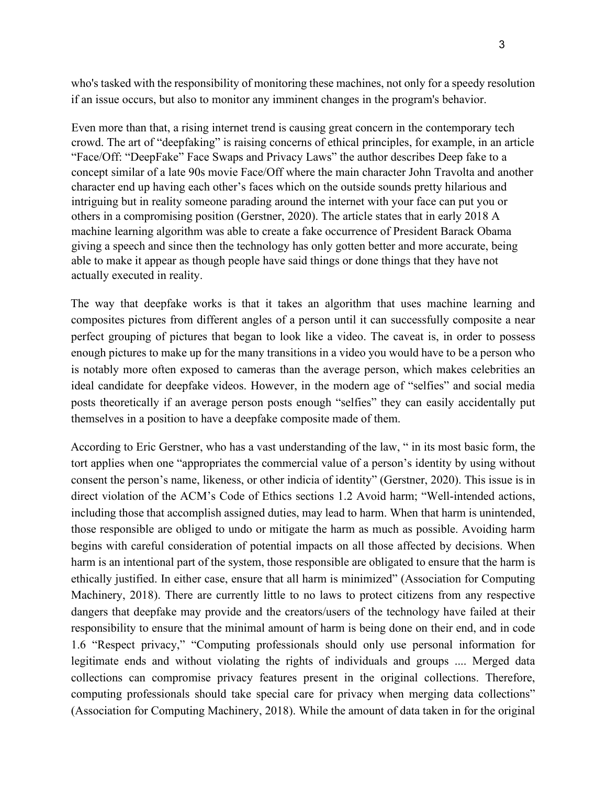who's tasked with the responsibility of monitoring these machines, not only for a speedy resolution if an issue occurs, but also to monitor any imminent changes in the program's behavior.

Even more than that, a rising internet trend is causing great concern in the contemporary tech crowd. The art of "deepfaking" is raising concerns of ethical principles, for example, in an article "Face/Off: "DeepFake" Face Swaps and Privacy Laws" the author describes Deep fake to a concept similar of a late 90s movie Face/Off where the main character John Travolta and another character end up having each other's faces which on the outside sounds pretty hilarious and intriguing but in reality someone parading around the internet with your face can put you or others in a compromising position (Gerstner, 2020). The article states that in early 2018 A machine learning algorithm was able to create a fake occurrence of President Barack Obama giving a speech and since then the technology has only gotten better and more accurate, being able to make it appear as though people have said things or done things that they have not actually executed in reality.

The way that deepfake works is that it takes an algorithm that uses machine learning and composites pictures from different angles of a person until it can successfully composite a near perfect grouping of pictures that began to look like a video. The caveat is, in order to possess enough pictures to make up for the many transitions in a video you would have to be a person who is notably more often exposed to cameras than the average person, which makes celebrities an ideal candidate for deepfake videos. However, in the modern age of "selfies" and social media posts theoretically if an average person posts enough "selfies" they can easily accidentally put themselves in a position to have a deepfake composite made of them.

According to Eric Gerstner, who has a vast understanding of the law, " in its most basic form, the tort applies when one "appropriates the commercial value of a person's identity by using without consent the person's name, likeness, or other indicia of identity" (Gerstner, 2020). This issue is in direct violation of the ACM's Code of Ethics sections 1.2 Avoid harm; "Well-intended actions, including those that accomplish assigned duties, may lead to harm. When that harm is unintended, those responsible are obliged to undo or mitigate the harm as much as possible. Avoiding harm begins with careful consideration of potential impacts on all those affected by decisions. When harm is an intentional part of the system, those responsible are obligated to ensure that the harm is ethically justified. In either case, ensure that all harm is minimized" (Association for Computing Machinery, 2018). There are currently little to no laws to protect citizens from any respective dangers that deepfake may provide and the creators/users of the technology have failed at their responsibility to ensure that the minimal amount of harm is being done on their end, and in code 1.6 "Respect privacy," "Computing professionals should only use personal information for legitimate ends and without violating the rights of individuals and groups .... Merged data collections can compromise privacy features present in the original collections. Therefore, computing professionals should take special care for privacy when merging data collections" (Association for Computing Machinery, 2018). While the amount of data taken in for the original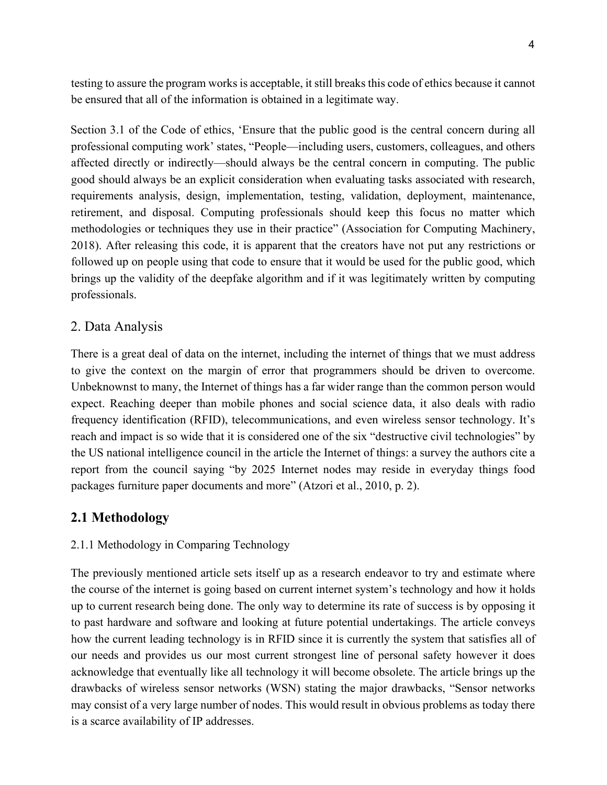testing to assure the program works is acceptable, it still breaks this code of ethics because it cannot be ensured that all of the information is obtained in a legitimate way.

Section 3.1 of the Code of ethics, 'Ensure that the public good is the central concern during all professional computing work' states, "People—including users, customers, colleagues, and others affected directly or indirectly—should always be the central concern in computing. The public good should always be an explicit consideration when evaluating tasks associated with research, requirements analysis, design, implementation, testing, validation, deployment, maintenance, retirement, and disposal. Computing professionals should keep this focus no matter which methodologies or techniques they use in their practice" (Association for Computing Machinery, 2018). After releasing this code, it is apparent that the creators have not put any restrictions or followed up on people using that code to ensure that it would be used for the public good, which brings up the validity of the deepfake algorithm and if it was legitimately written by computing professionals.

### 2. Data Analysis

There is a great deal of data on the internet, including the internet of things that we must address to give the context on the margin of error that programmers should be driven to overcome. Unbeknownst to many, the Internet of things has a far wider range than the common person would expect. Reaching deeper than mobile phones and social science data, it also deals with radio frequency identification (RFID), telecommunications, and even wireless sensor technology. It's reach and impact is so wide that it is considered one of the six "destructive civil technologies" by the US national intelligence council in the article the Internet of things: a survey the authors cite a report from the council saying "by 2025 Internet nodes may reside in everyday things food packages furniture paper documents and more" (Atzori et al., 2010, p. 2).

## **2.1 Methodology**

#### 2.1.1 Methodology in Comparing Technology

The previously mentioned article sets itself up as a research endeavor to try and estimate where the course of the internet is going based on current internet system's technology and how it holds up to current research being done. The only way to determine its rate of success is by opposing it to past hardware and software and looking at future potential undertakings. The article conveys how the current leading technology is in RFID since it is currently the system that satisfies all of our needs and provides us our most current strongest line of personal safety however it does acknowledge that eventually like all technology it will become obsolete. The article brings up the drawbacks of wireless sensor networks (WSN) stating the major drawbacks, "Sensor networks may consist of a very large number of nodes. This would result in obvious problems as today there is a scarce availability of IP addresses.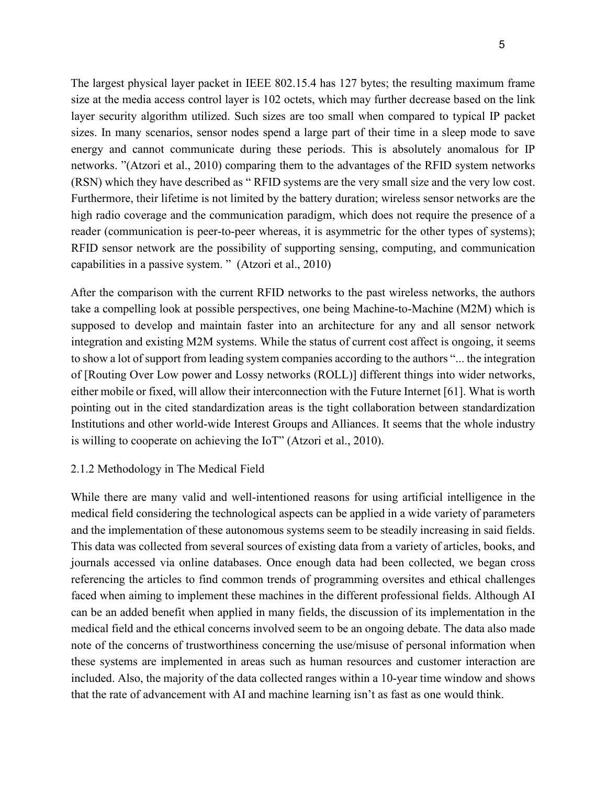The largest physical layer packet in IEEE 802.15.4 has 127 bytes; the resulting maximum frame size at the media access control layer is 102 octets, which may further decrease based on the link layer security algorithm utilized. Such sizes are too small when compared to typical IP packet sizes. In many scenarios, sensor nodes spend a large part of their time in a sleep mode to save energy and cannot communicate during these periods. This is absolutely anomalous for IP networks. "(Atzori et al., 2010) comparing them to the advantages of the RFID system networks (RSN) which they have described as " RFID systems are the very small size and the very low cost. Furthermore, their lifetime is not limited by the battery duration; wireless sensor networks are the high radio coverage and the communication paradigm, which does not require the presence of a reader (communication is peer-to-peer whereas, it is asymmetric for the other types of systems); RFID sensor network are the possibility of supporting sensing, computing, and communication capabilities in a passive system. " (Atzori et al., 2010)

After the comparison with the current RFID networks to the past wireless networks, the authors take a compelling look at possible perspectives, one being Machine-to-Machine (M2M) which is supposed to develop and maintain faster into an architecture for any and all sensor network integration and existing M2M systems. While the status of current cost affect is ongoing, it seems to show a lot of support from leading system companies according to the authors "... the integration of [Routing Over Low power and Lossy networks (ROLL)] different things into wider networks, either mobile or fixed, will allow their interconnection with the Future Internet [61]. What is worth pointing out in the cited standardization areas is the tight collaboration between standardization Institutions and other world-wide Interest Groups and Alliances. It seems that the whole industry is willing to cooperate on achieving the IoT" (Atzori et al., 2010).

#### 2.1.2 Methodology in The Medical Field

While there are many valid and well-intentioned reasons for using artificial intelligence in the medical field considering the technological aspects can be applied in a wide variety of parameters and the implementation of these autonomous systems seem to be steadily increasing in said fields. This data was collected from several sources of existing data from a variety of articles, books, and journals accessed via online databases. Once enough data had been collected, we began cross referencing the articles to find common trends of programming oversites and ethical challenges faced when aiming to implement these machines in the different professional fields. Although AI can be an added benefit when applied in many fields, the discussion of its implementation in the medical field and the ethical concerns involved seem to be an ongoing debate. The data also made note of the concerns of trustworthiness concerning the use/misuse of personal information when these systems are implemented in areas such as human resources and customer interaction are included. Also, the majority of the data collected ranges within a 10-year time window and shows that the rate of advancement with AI and machine learning isn't as fast as one would think.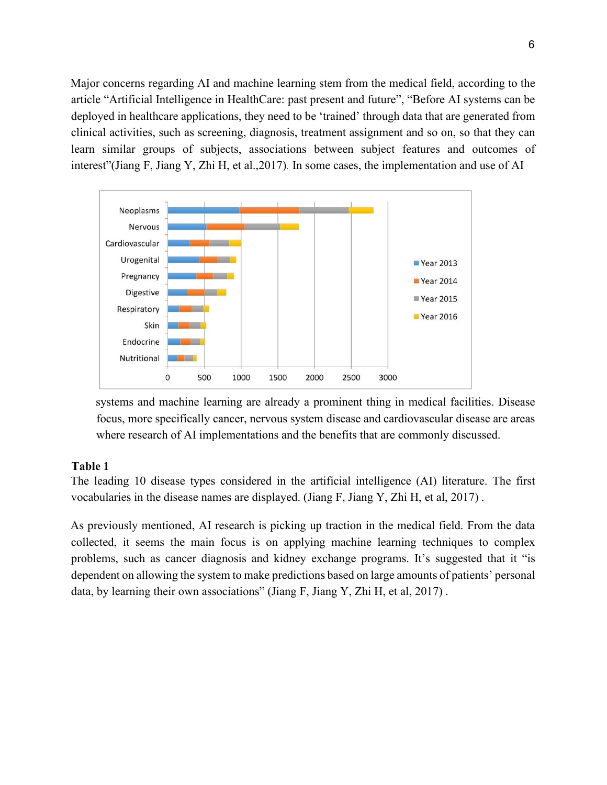Major concerns regarding AI and machine learning stem from the medical field, according to the article "Artificial Intelligence in HealthCare: past present and future", "Before AI systems can be deployed in healthcare applications, they need to be 'trained' through data that are generated from clinical activities, such as screening, diagnosis, treatment assignment and so on, so that they can learn similar groups of subjects, associations between subject features and outcomes of interest"(Jiang F, Jiang Y, Zhi H, et al.,2017)*.* In some cases, the implementation and use of AI



systems and machine learning are already a prominent thing in medical facilities. Disease focus, more specifically cancer, nervous system disease and cardiovascular disease are areas where research of AI implementations and the benefits that are commonly discussed.

#### **Table 1**

The leading 10 disease types considered in the artificial intelligence (AI) literature. The first vocabularies in the disease names are displayed. (Jiang F, Jiang Y, Zhi H, et al, 2017) .

As previously mentioned, AI research is picking up traction in the medical field. From the data collected, it seems the main focus is on applying machine learning techniques to complex problems, such as cancer diagnosis and kidney exchange programs. It's suggested that it "is dependent on allowing the system to make predictions based on large amounts of patients' personal data, by learning their own associations" (Jiang F, Jiang Y, Zhi H, et al, 2017) .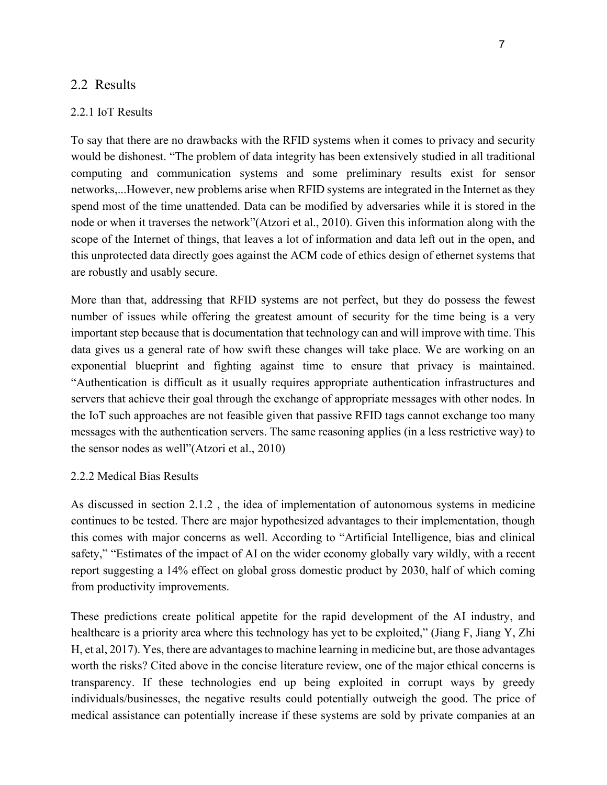#### 2.2 Results

#### 2.2.1 IoT Results

To say that there are no drawbacks with the RFID systems when it comes to privacy and security would be dishonest. "The problem of data integrity has been extensively studied in all traditional computing and communication systems and some preliminary results exist for sensor networks,...However, new problems arise when RFID systems are integrated in the Internet as they spend most of the time unattended. Data can be modified by adversaries while it is stored in the node or when it traverses the network"(Atzori et al., 2010). Given this information along with the scope of the Internet of things, that leaves a lot of information and data left out in the open, and this unprotected data directly goes against the ACM code of ethics design of ethernet systems that are robustly and usably secure.

More than that, addressing that RFID systems are not perfect, but they do possess the fewest number of issues while offering the greatest amount of security for the time being is a very important step because that is documentation that technology can and will improve with time. This data gives us a general rate of how swift these changes will take place. We are working on an exponential blueprint and fighting against time to ensure that privacy is maintained. "Authentication is difficult as it usually requires appropriate authentication infrastructures and servers that achieve their goal through the exchange of appropriate messages with other nodes. In the IoT such approaches are not feasible given that passive RFID tags cannot exchange too many messages with the authentication servers. The same reasoning applies (in a less restrictive way) to the sensor nodes as well"(Atzori et al., 2010)

#### 2.2.2 Medical Bias Results

As discussed in section 2.1.2 , the idea of implementation of autonomous systems in medicine continues to be tested. There are major hypothesized advantages to their implementation, though this comes with major concerns as well. According to "Artificial Intelligence, bias and clinical safety," "Estimates of the impact of AI on the wider economy globally vary wildly, with a recent report suggesting a 14% effect on global gross domestic product by 2030, half of which coming from productivity improvements.

These predictions create political appetite for the rapid development of the AI industry, and healthcare is a priority area where this technology has yet to be exploited," (Jiang F, Jiang Y, Zhi H, et al, 2017). Yes, there are advantages to machine learning in medicine but, are those advantages worth the risks? Cited above in the concise literature review, one of the major ethical concerns is transparency. If these technologies end up being exploited in corrupt ways by greedy individuals/businesses, the negative results could potentially outweigh the good. The price of medical assistance can potentially increase if these systems are sold by private companies at an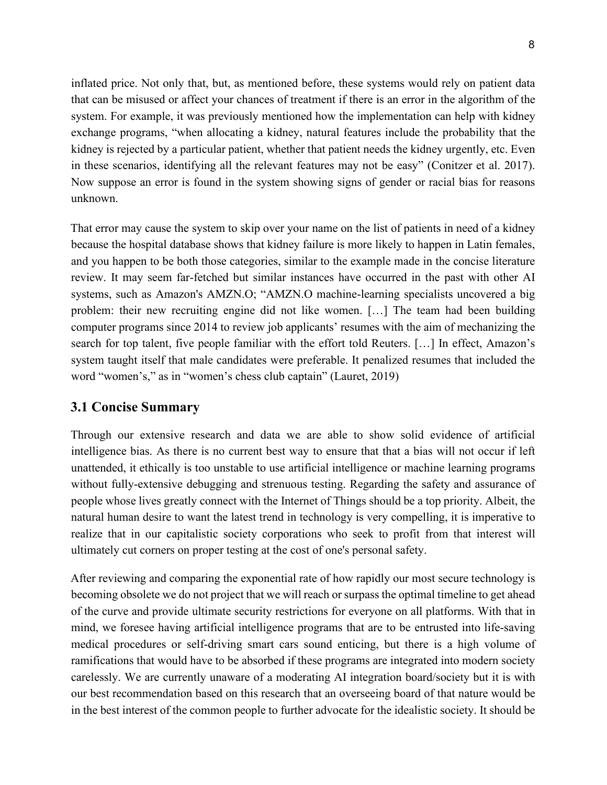inflated price. Not only that, but, as mentioned before, these systems would rely on patient data that can be misused or affect your chances of treatment if there is an error in the algorithm of the system. For example, it was previously mentioned how the implementation can help with kidney exchange programs, "when allocating a kidney, natural features include the probability that the kidney is rejected by a particular patient, whether that patient needs the kidney urgently, etc. Even in these scenarios, identifying all the relevant features may not be easy" (Conitzer et al. 2017). Now suppose an error is found in the system showing signs of gender or racial bias for reasons unknown.

That error may cause the system to skip over your name on the list of patients in need of a kidney because the hospital database shows that kidney failure is more likely to happen in Latin females, and you happen to be both those categories, similar to the example made in the concise literature review. It may seem far-fetched but similar instances have occurred in the past with other AI systems, such as Amazon's AMZN.O; "AMZN.O machine-learning specialists uncovered a big problem: their new recruiting engine did not like women. […] The team had been building computer programs since 2014 to review job applicants' resumes with the aim of mechanizing the search for top talent, five people familiar with the effort told Reuters. […] In effect, Amazon's system taught itself that male candidates were preferable. It penalized resumes that included the word "women's," as in "women's chess club captain" (Lauret, 2019)

## **3.1 Concise Summary**

Through our extensive research and data we are able to show solid evidence of artificial intelligence bias. As there is no current best way to ensure that that a bias will not occur if left unattended, it ethically is too unstable to use artificial intelligence or machine learning programs without fully-extensive debugging and strenuous testing. Regarding the safety and assurance of people whose lives greatly connect with the Internet of Things should be a top priority. Albeit, the natural human desire to want the latest trend in technology is very compelling, it is imperative to realize that in our capitalistic society corporations who seek to profit from that interest will ultimately cut corners on proper testing at the cost of one's personal safety.

After reviewing and comparing the exponential rate of how rapidly our most secure technology is becoming obsolete we do not project that we will reach or surpass the optimal timeline to get ahead of the curve and provide ultimate security restrictions for everyone on all platforms. With that in mind, we foresee having artificial intelligence programs that are to be entrusted into life-saving medical procedures or self-driving smart cars sound enticing, but there is a high volume of ramifications that would have to be absorbed if these programs are integrated into modern society carelessly. We are currently unaware of a moderating AI integration board/society but it is with our best recommendation based on this research that an overseeing board of that nature would be in the best interest of the common people to further advocate for the idealistic society. It should be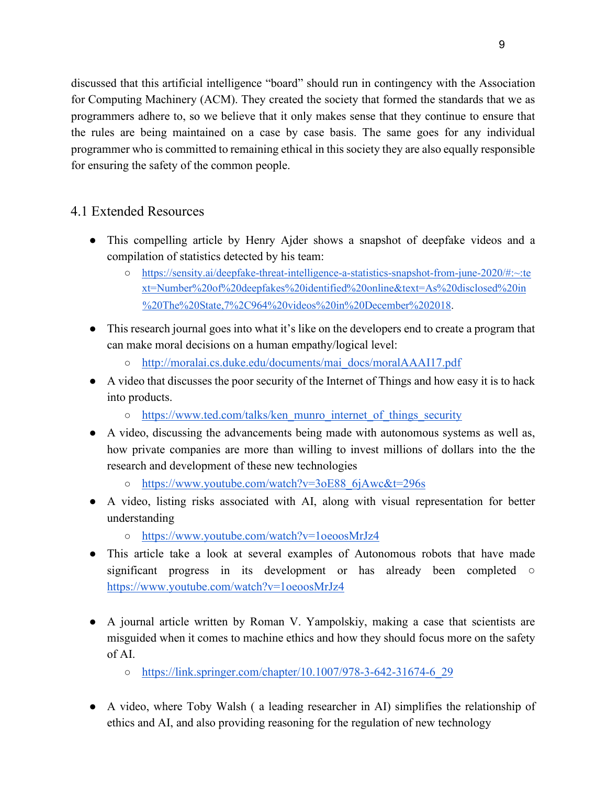discussed that this artificial intelligence "board" should run in contingency with the Association for Computing Machinery (ACM). They created the society that formed the standards that we as programmers adhere to, so we believe that it only makes sense that they continue to ensure that the rules are being maintained on a case by case basis. The same goes for any individual programmer who is committed to remaining ethical in this society they are also equally responsible for ensuring the safety of the common people.

## 4.1 Extended Resources

- This compelling article by Henry Ajder shows a snapshot of deepfake videos and a compilation of statistics detected by his team:
	- [https://sensity.ai/deepfake-threat-intelligence-a-statistics-snapshot-from-june-2020/#:~:te](https://sensity.ai/deepfake-threat-intelligence-a-statistics-snapshot-from-june-2020/#:%7E:text=Number%20of%20deepfakes%20identified%20online&text=As%20disclosed%20in%20The%20State,7%2C964%20videos%20in%20December%202018)  [xt=Number%20of%20deepfakes%20identified%20online&text=As%20disclosed%20in](https://sensity.ai/deepfake-threat-intelligence-a-statistics-snapshot-from-june-2020/#:%7E:text=Number%20of%20deepfakes%20identified%20online&text=As%20disclosed%20in%20The%20State,7%2C964%20videos%20in%20December%202018) [%20The%20State,7%2C964%20videos%20in%20December%202018.](https://sensity.ai/deepfake-threat-intelligence-a-statistics-snapshot-from-june-2020/#:%7E:text=Number%20of%20deepfakes%20identified%20online&text=As%20disclosed%20in%20The%20State,7%2C964%20videos%20in%20December%202018)
- This research journal goes into what it's like on the developers end to create a program that can make moral decisions on a human empathy/logical level:
	- [http://moralai.cs.duke.edu/documents/mai\\_docs/moralAAAI17.pdf](http://moralai.cs.duke.edu/documents/mai_docs/moralAAAI17.pdf)
- A video that discusses the poor security of the Internet of Things and how easy it is to hack into products.
	- [https://www.ted.com/talks/ken\\_munro\\_internet\\_of\\_things\\_security](https://www.ted.com/talks/ken_munro_internet_of_things_security)
- A video, discussing the advancements being made with autonomous systems as well as, how private companies are more than willing to invest millions of dollars into the the research and development of these new technologies
	- [https://www.youtube.com/watch?v=3oE88\\_6jAwc&t=296s](https://www.youtube.com/watch?v=3oE88_6jAwc&t=296s)
- A video, listing risks associated with AI, along with visual representation for better understanding
	- <https://www.youtube.com/watch?v=1oeoosMrJz4>
- This article take a look at several examples of Autonomous robots that have made significant progress in its development or has already been completed  $\circ$ <https://www.youtube.com/watch?v=1oeoosMrJz4>
- A journal article written by Roman V. Yampolskiy, making a case that scientists are misguided when it comes to machine ethics and how they should focus more on the safety of AI.
	- [https://link.springer.com/chapter/10.1007/978-3-642-31674-6\\_29](https://link.springer.com/chapter/10.1007/978-3-642-31674-6_29)
- A video, where Toby Walsh ( a leading researcher in AI) simplifies the relationship of ethics and AI, and also providing reasoning for the regulation of new technology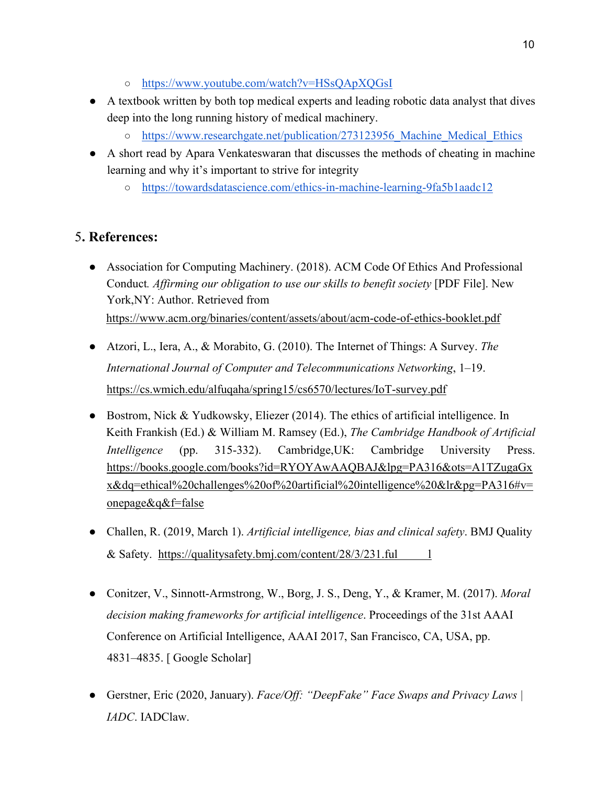- <https://www.youtube.com/watch?v=HSsQApXQGsI>
- A textbook written by both top medical experts and leading robotic data analyst that dives deep into the long running history of medical machinery.
	- o https://www.researchgate.net/publication/273123956 Machine Medical Ethics
- A short read by Apara Venkateswaran that discusses the methods of cheating in machine learning and why it's important to strive for integrity
	- <https://towardsdatascience.com/ethics-in-machine-learning-9fa5b1aadc12>

## 5**. References:**

- Association for Computing Machinery. (2018). ACM Code Of Ethics And Professional Conduct*. Affirming our obligation to use our skills to benefit society* [PDF File]. New York,NY: Author. Retrieved from <https://www.acm.org/binaries/content/assets/about/acm-code-of-ethics-booklet.pdf>
- Atzori, L., Iera, A., & Morabito, G. (2010). The Internet of Things: A Survey. *The International Journal of Computer and Telecommunications Networking*, 1–19. <https://cs.wmich.edu/alfuqaha/spring15/cs6570/lectures/IoT-survey.pdf>
- Bostrom, Nick & Yudkowsky, Eliezer  $(2014)$ . The ethics of artificial i[n](https://www.google.com/search?tbo=p&tbm=bks&q=inauthor:%22Keith+Frankish%22&source=gbs_metadata_r&cad=8)telligence. In [Keith](https://www.google.com/search?tbo=p&tbm=bks&q=inauthor:%22Keith+Frankish%22&source=gbs_metadata_r&cad=8) [Frankish](https://www.google.com/search?tbo=p&tbm=bks&q=inauthor:%22Keith+Frankish%22&source=gbs_metadata_r&cad=8) [\(](https://www.google.com/search?tbo=p&tbm=bks&q=inauthor:%22Keith+Frankish%22&source=gbs_metadata_r&cad=8)Ed.) [& William](https://www.google.com/search?tbo=p&tbm=bks&q=inauthor:%22William+M.+Ramsey%22&source=gbs_metadata_r&cad=8) [M.](https://www.google.com/search?tbo=p&tbm=bks&q=inauthor:%22William+M.+Ramsey%22&source=gbs_metadata_r&cad=8) [Ramsey](https://www.google.com/search?tbo=p&tbm=bks&q=inauthor:%22William+M.+Ramsey%22&source=gbs_metadata_r&cad=8) (Ed.), *The Cambridge Handbook of Artificial Intelligence* (pp. 315-332). Cambridge,UK: Cambridge University Press. [https://books.google.com/books?id=RYOYAwAAQBAJ&lpg=PA316&ots=A1TZugaGx](https://books.google.com/books?id=RYOYAwAAQBAJ&lpg=PA316&ots=A1TZugaGxx&dq=ethical%20challenges%20of%20artificial%20intelligence%20&lr&pg=PA316#v=onepage&q&f=false)  [x&dq=ethical%20challenges%20of%20artificial%20intelligence%20&lr&pg=PA316#v=](https://books.google.com/books?id=RYOYAwAAQBAJ&lpg=PA316&ots=A1TZugaGxx&dq=ethical%20challenges%20of%20artificial%20intelligence%20&lr&pg=PA316#v=onepage&q&f=false)  [onepage&q&f=false](https://books.google.com/books?id=RYOYAwAAQBAJ&lpg=PA316&ots=A1TZugaGxx&dq=ethical%20challenges%20of%20artificial%20intelligence%20&lr&pg=PA316#v=onepage&q&f=false)
- Challen, R. (2019, March 1). *Artificial intelligence, bias and clinical safety*. BMJ Quality & Safety. [https://qualitysafety.bmj.com/content/28/3/231.ful](https://qualitysafety.bmj.com/content/28/3/231.full)  $\qquad$  1
- Conitzer, V., Sinnott-Armstrong, W., Borg, J. S., Deng, Y., & Kramer, M. (2017). *Moral decision making frameworks for artificial intelligence*. Proceedings of the 31st AAAI Conference on Artificial Intelligence, AAAI 2017, San Francisco, CA, USA, pp. 4831–4835. [\[](http://scholar.google.com/scholar_lookup?hl=en&publication_year=2017&author=V.+Conitzer&author=W.+Sinnott-Armstrong&author=J.+S.+Borg&author=Y.+Deng&author=M.+Kramer&title=Moral+decision+making+frameworks+for+artificial+intelligence) [Google Scholar\]](http://scholar.google.com/scholar_lookup?hl=en&publication_year=2017&author=V.+Conitzer&author=W.+Sinnott-Armstrong&author=J.+S.+Borg&author=Y.+Deng&author=M.+Kramer&title=Moral+decision+making+frameworks+for+artificial+intelligence)
- Gerstner, Eric (2020, January). *Face/Off: "DeepFake" Face Swaps and Privacy Laws | IADC*. IADClaw.